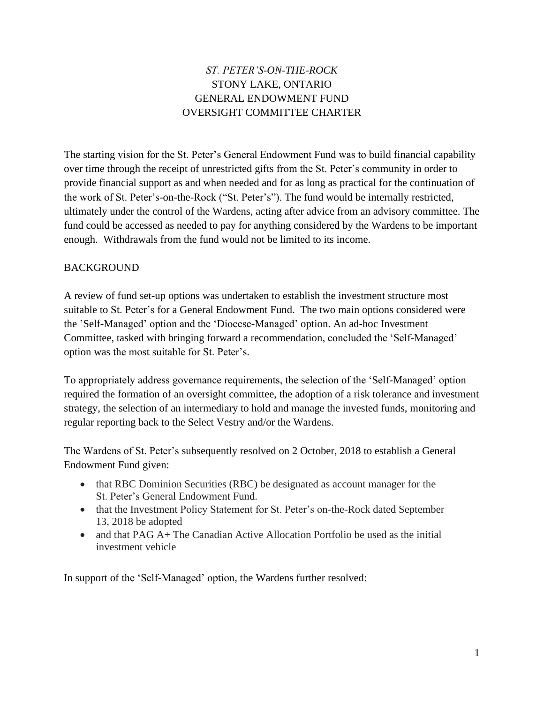## *ST. PETER'S-ON-THE-ROCK* STONY LAKE, ONTARIO GENERAL ENDOWMENT FUND OVERSIGHT COMMITTEE CHARTER

The starting vision for the St. Peter's General Endowment Fund was to build financial capability over time through the receipt of unrestricted gifts from the St. Peter's community in order to provide financial support as and when needed and for as long as practical for the continuation of the work of St. Peter's-on-the-Rock ("St. Peter's"). The fund would be internally restricted, ultimately under the control of the Wardens, acting after advice from an advisory committee. The fund could be accessed as needed to pay for anything considered by the Wardens to be important enough. Withdrawals from the fund would not be limited to its income.

#### BACKGROUND

A review of fund set-up options was undertaken to establish the investment structure most suitable to St. Peter's for a General Endowment Fund. The two main options considered were the 'Self-Managed' option and the 'Diocese-Managed' option. An ad-hoc Investment Committee, tasked with bringing forward a recommendation, concluded the 'Self-Managed' option was the most suitable for St. Peter's.

To appropriately address governance requirements, the selection of the 'Self-Managed' option required the formation of an oversight committee, the adoption of a risk tolerance and investment strategy, the selection of an intermediary to hold and manage the invested funds, monitoring and regular reporting back to the Select Vestry and/or the Wardens.

The Wardens of St. Peter's subsequently resolved on 2 October, 2018 to establish a General Endowment Fund given:

- that RBC Dominion Securities (RBC) be designated as account manager for the St. Peter's General Endowment Fund.
- that the Investment Policy Statement for St. Peter's on-the-Rock dated September 13, 2018 be adopted
- and that  $PAG A+$  The Canadian Active Allocation Portfolio be used as the initial investment vehicle

In support of the 'Self-Managed' option, the Wardens further resolved: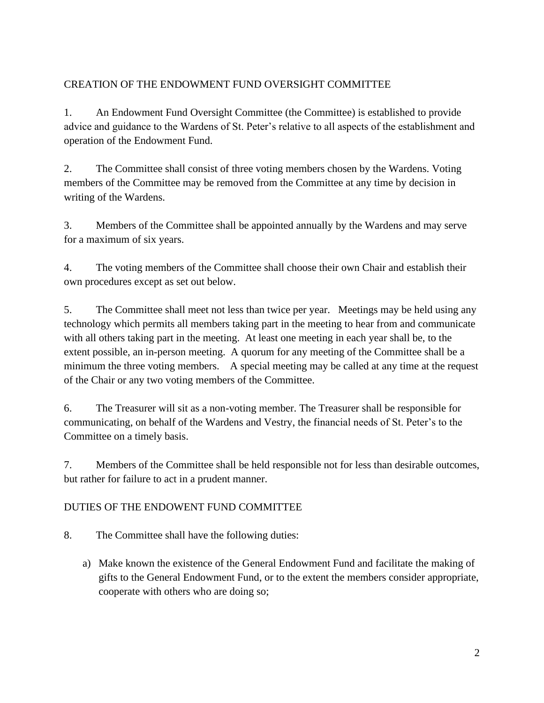## CREATION OF THE ENDOWMENT FUND OVERSIGHT COMMITTEE

1. An Endowment Fund Oversight Committee (the Committee) is established to provide advice and guidance to the Wardens of St. Peter's relative to all aspects of the establishment and operation of the Endowment Fund.

2. The Committee shall consist of three voting members chosen by the Wardens. Voting members of the Committee may be removed from the Committee at any time by decision in writing of the Wardens.

3. Members of the Committee shall be appointed annually by the Wardens and may serve for a maximum of six years.

4. The voting members of the Committee shall choose their own Chair and establish their own procedures except as set out below.

5. The Committee shall meet not less than twice per year. Meetings may be held using any technology which permits all members taking part in the meeting to hear from and communicate with all others taking part in the meeting. At least one meeting in each year shall be, to the extent possible, an in-person meeting. A quorum for any meeting of the Committee shall be a minimum the three voting members. A special meeting may be called at any time at the request of the Chair or any two voting members of the Committee.

6. The Treasurer will sit as a non-voting member. The Treasurer shall be responsible for communicating, on behalf of the Wardens and Vestry, the financial needs of St. Peter's to the Committee on a timely basis.

7. Members of the Committee shall be held responsible not for less than desirable outcomes, but rather for failure to act in a prudent manner.

## DUTIES OF THE ENDOWENT FUND COMMITTEE

8. The Committee shall have the following duties:

a) Make known the existence of the General Endowment Fund and facilitate the making of gifts to the General Endowment Fund, or to the extent the members consider appropriate, cooperate with others who are doing so;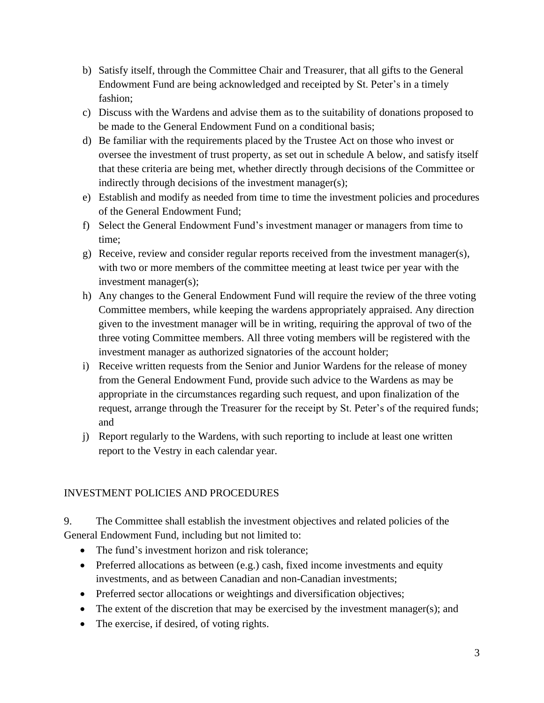- b) Satisfy itself, through the Committee Chair and Treasurer, that all gifts to the General Endowment Fund are being acknowledged and receipted by St. Peter's in a timely fashion;
- c) Discuss with the Wardens and advise them as to the suitability of donations proposed to be made to the General Endowment Fund on a conditional basis;
- d) Be familiar with the requirements placed by the Trustee Act on those who invest or oversee the investment of trust property, as set out in schedule A below, and satisfy itself that these criteria are being met, whether directly through decisions of the Committee or indirectly through decisions of the investment manager(s);
- e) Establish and modify as needed from time to time the investment policies and procedures of the General Endowment Fund;
- f) Select the General Endowment Fund's investment manager or managers from time to time;
- g) Receive, review and consider regular reports received from the investment manager(s), with two or more members of the committee meeting at least twice per year with the investment manager(s);
- h) Any changes to the General Endowment Fund will require the review of the three voting Committee members, while keeping the wardens appropriately appraised. Any direction given to the investment manager will be in writing, requiring the approval of two of the three voting Committee members. All three voting members will be registered with the investment manager as authorized signatories of the account holder;
- i) Receive written requests from the Senior and Junior Wardens for the release of money from the General Endowment Fund, provide such advice to the Wardens as may be appropriate in the circumstances regarding such request, and upon finalization of the request, arrange through the Treasurer for the receipt by St. Peter's of the required funds; and
- j) Report regularly to the Wardens, with such reporting to include at least one written report to the Vestry in each calendar year.

## INVESTMENT POLICIES AND PROCEDURES

9. The Committee shall establish the investment objectives and related policies of the General Endowment Fund, including but not limited to:

- The fund's investment horizon and risk tolerance;
- Preferred allocations as between (e.g.) cash, fixed income investments and equity investments, and as between Canadian and non-Canadian investments;
- Preferred sector allocations or weightings and diversification objectives;
- The extent of the discretion that may be exercised by the investment manager(s); and
- The exercise, if desired, of voting rights.